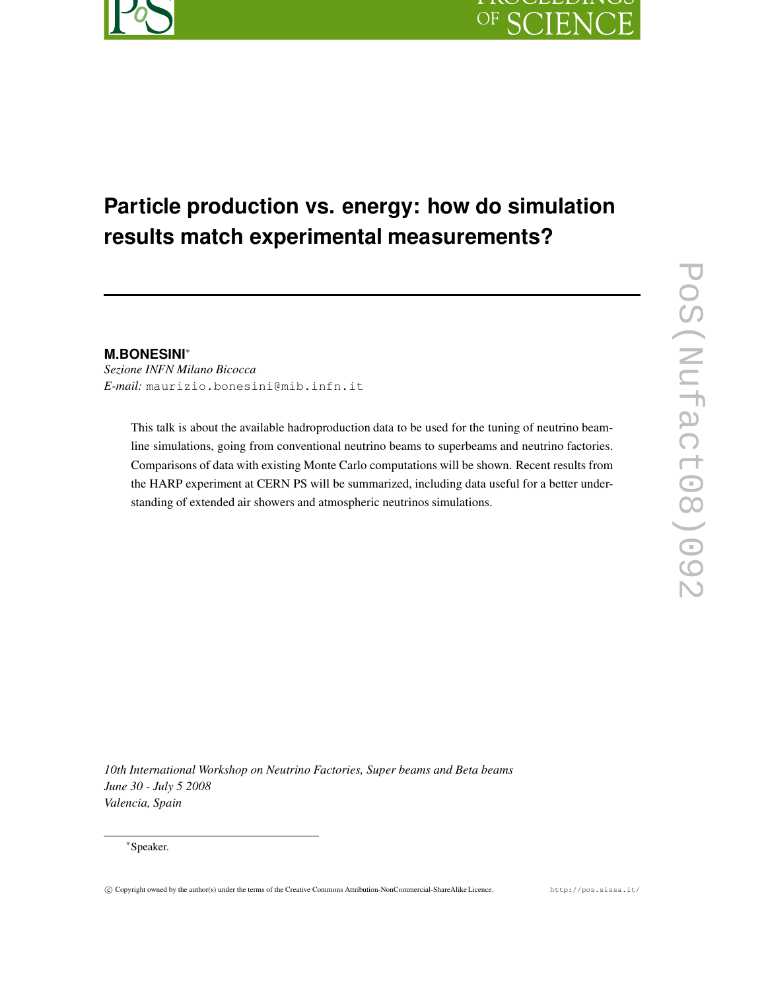

# OF SCIEN

# **Particle production vs. energy: how do simulation results match experimental measurements?**

**M.BONESINI**<sup>∗</sup>

*Sezione INFN Milano Bicocca E-mail:* maurizio.bonesini@mib.infn.it

> This talk is about the available hadroproduction data to be used for the tuning of neutrino beamline simulations, going from conventional neutrino beams to superbeams and neutrino factories. Comparisons of data with existing Monte Carlo computations will be shown. Recent results from the HARP experiment at CERN PS will be summarized, including data useful for a better understanding of extended air showers and atmospheric neutrinos simulations.

*10th International Workshop on Neutrino Factories, Super beams and Beta beams June 30 - July 5 2008 Valencia, Spain*

<sup>∗</sup>Speaker.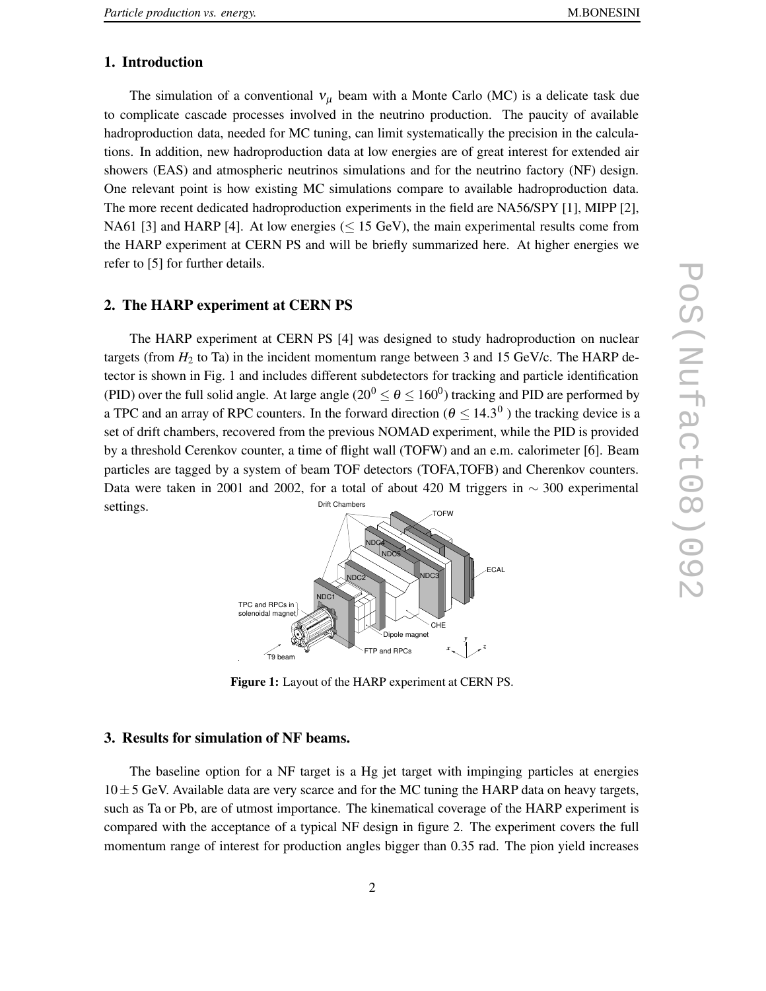### **1. Introduction**

The simulation of a conventional  $v_{\mu}$  beam with a Monte Carlo (MC) is a delicate task due to complicate cascade processes involved in the neutrino production. The paucity of available hadroproduction data, needed for MC tuning, can limit systematically the precision in the calculations. In addition, new hadroproduction data at low energies are of great interest for extended air showers (EAS) and atmospheric neutrinos simulations and for the neutrino factory (NF) design. One relevant point is how existing MC simulations compare to available hadroproduction data. The more recent dedicated hadroproduction experiments in the field are NA56/SPY [1], MIPP [2], NA61 [3] and HARP [4]. At low energies ( $\leq$  15 GeV), the main experimental results come from the HARP experiment at CERN PS and will be briefly summarized here. At higher energies we refer to [5] for further details.

#### **2. The HARP experiment at CERN PS**

The HARP experiment at CERN PS [4] was designed to study hadroproduction on nuclear targets (from  $H_2$  to Ta) in the incident momentum range between 3 and 15 GeV/c. The HARP detector is shown in Fig. 1 and includes different subdetectors for tracking and particle identification (PID) over the full solid angle. At large angle ( $20^0 \le \theta \le 160^0$ ) tracking and PID are performed by a TPC and an array of RPC counters. In the forward direction ( $\theta \le 14.3^\circ$ ) the tracking device is a set of drift chambers, recovered from the previous NOMAD experiment, while the PID is provided by a threshold Cerenkov counter, a time of flight wall (TOFW) and an e.m. calorimeter [6]. Beam particles are tagged by a system of beam TOF detectors (TOFA,TOFB) and Cherenkov counters. Data were taken in 2001 and 2002, for a total of about 420 M triggers in  $\sim$  300 experimental settings. Drift Chambers



**Figure 1:** Layout of the HARP experiment at CERN PS.

#### **3. Results for simulation of NF beams.**

The baseline option for a NF target is a Hg jet target with impinging particles at energies  $10\pm5$  GeV. Available data are very scarce and for the MC tuning the HARP data on heavy targets, such as Ta or Pb, are of utmost importance. The kinematical coverage of the HARP experiment is compared with the acceptance of a typical NF design in figure 2. The experiment covers the full momentum range of interest for production angles bigger than 0.35 rad. The pion yield increases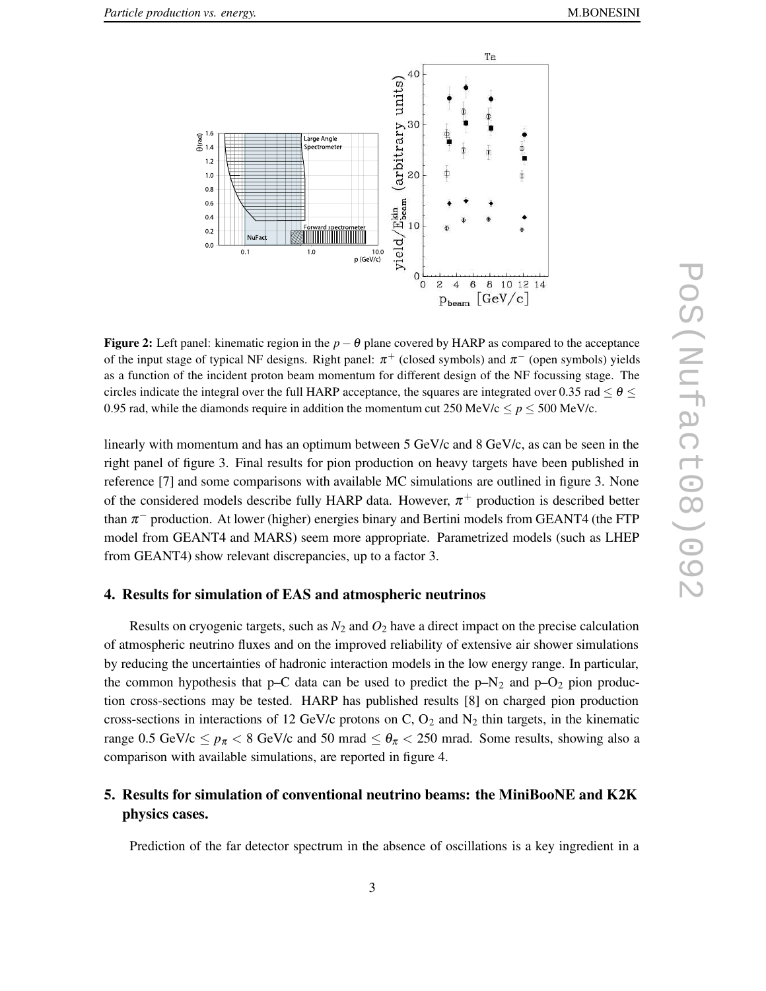

**Figure 2:** Left panel: kinematic region in the  $p - \theta$  plane covered by HARP as compared to the acceptance of the input stage of typical NF designs. Right panel:  $\pi^+$  (closed symbols) and  $\pi^-$  (open symbols) yields as a function of the incident proton beam momentum for different design of the NF focussing stage. The circles indicate the integral over the full HARP acceptance, the squares are integrated over 0.35 rad  $\leq \theta \leq$ 0.95 rad, while the diamonds require in addition the momentum cut 250 MeV/c  $\leq p \leq 500$  MeV/c.

linearly with momentum and has an optimum between 5 GeV/c and 8 GeV/c, as can be seen in the right panel of figure 3. Final results for pion production on heavy targets have been published in reference [7] and some comparisons with available MC simulations are outlined in figure 3. None of the considered models describe fully HARP data. However,  $\pi^+$  production is described better than  $\pi^-$  production. At lower (higher) energies binary and Bertini models from GEANT4 (the FTP model from GEANT4 and MARS) seem more appropriate. Parametrized models (such as LHEP from GEANT4) show relevant discrepancies, up to a factor 3.

#### **4. Results for simulation of EAS and atmospheric neutrinos**

Results on cryogenic targets, such as  $N_2$  and  $O_2$  have a direct impact on the precise calculation of atmospheric neutrino fluxes and on the improved reliability of extensive air shower simulations by reducing the uncertainties of hadronic interaction models in the low energy range. In particular, the common hypothesis that p–C data can be used to predict the  $p-N_2$  and  $p-O_2$  pion production cross-sections may be tested. HARP has published results [8] on charged pion production cross-sections in interactions of 12 GeV/c protons on C,  $O_2$  and N<sub>2</sub> thin targets, in the kinematic range 0.5 GeV/c  $\leq p_{\pi}$  < 8 GeV/c and 50 mrad  $\leq \theta_{\pi}$  < 250 mrad. Some results, showing also a comparison with available simulations, are reported in figure 4.

## **5. Results for simulation of conventional neutrino beams: the MiniBooNE and K2K physics cases.**

Prediction of the far detector spectrum in the absence of oscillations is a key ingredient in a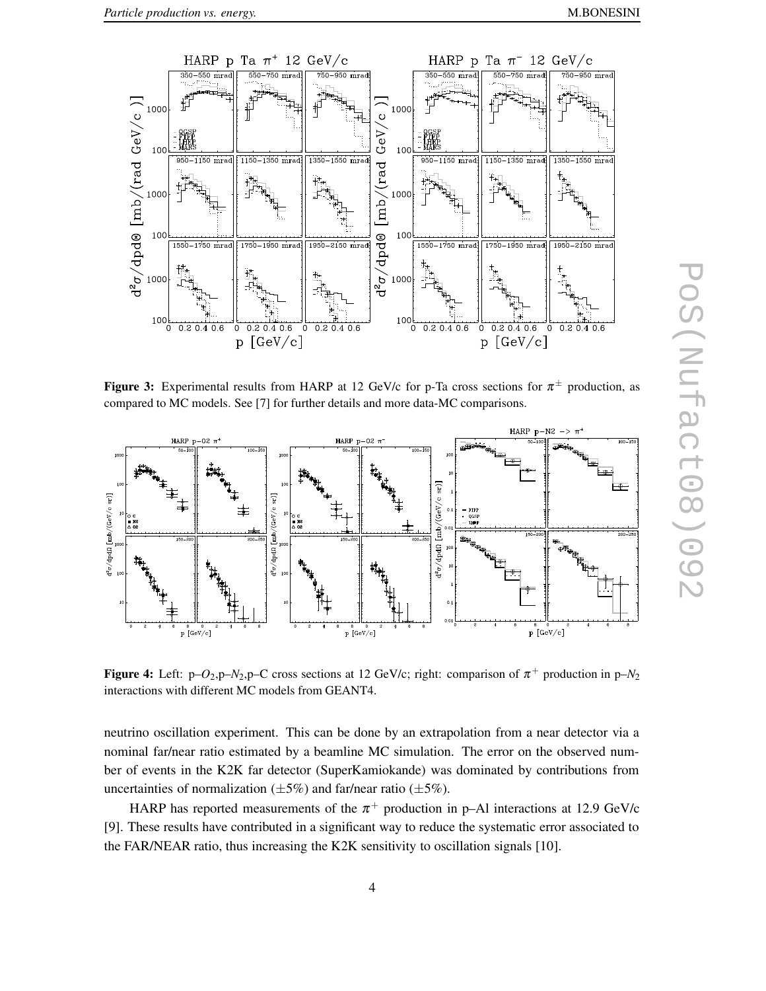

**Figure 3:** Experimental results from HARP at 12 GeV/c for p-Ta cross sections for  $\pi^{\pm}$  production, as compared to MC models. See [7] for further details and more data-MC comparisons.



**Figure 4:** Left: p- $O_2$ ,p- $N_2$ ,p-C cross sections at 12 GeV/c; right: comparison of  $\pi^+$  production in p- $N_2$ interactions with different MC models from GEANT4.

neutrino oscillation experiment. This can be done by an extrapolation from a near detector via a nominal far/near ratio estimated by a beamline MC simulation. The error on the observed number of events in the K2K far detector (SuperKamiokande) was dominated by contributions from uncertainties of normalization  $(\pm 5\%)$  and far/near ratio  $(\pm 5\%)$ .

HARP has reported measurements of the  $\pi^+$  production in p–Al interactions at 12.9 GeV/c [9]. These results have contributed in a significant way to reduce the systematic error associated to the FAR/NEAR ratio, thus increasing the K2K sensitivity to oscillation signals [10].